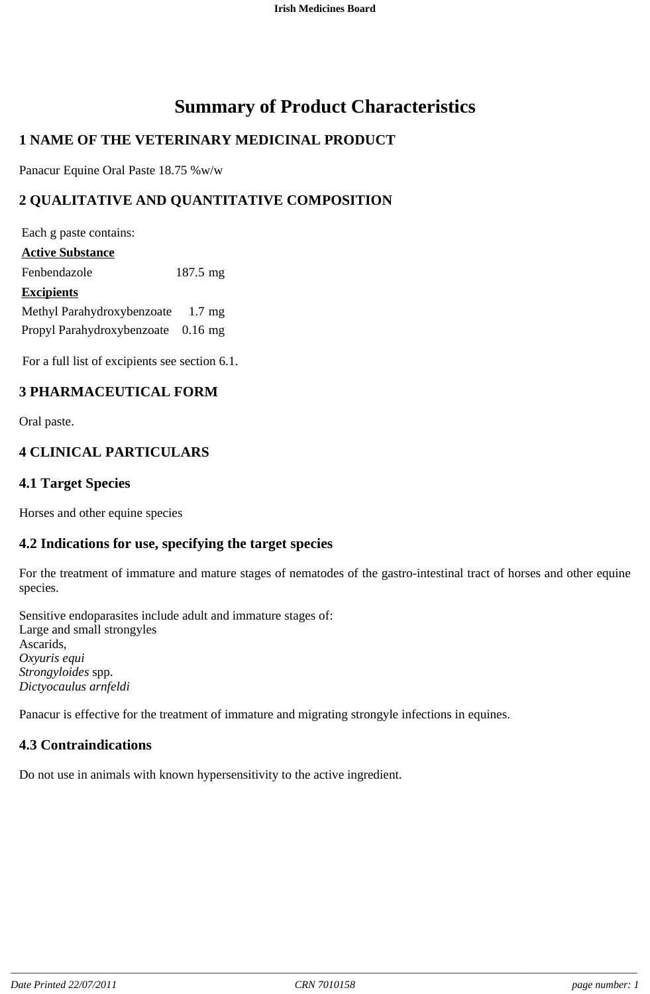# **Summary of Product Characteristics**

# **1 NAME OF THE VETERINARY MEDICINAL PRODUCT**

Panacur Equine Oral Paste 18.75 %w/w

## **2 QUALITATIVE AND QUANTITATIVE COMPOSITION**

Each g paste contains: **Active Substance** Fenbendazole 187.5 mg **Excipients** Methyl Parahydroxybenzoate 1.7 mg Propyl Parahydroxybenzoate 0.16 mg

For a full list of excipients see section 6.1.

## **3 PHARMACEUTICAL FORM**

Oral paste.

## **4 CLINICAL PARTICULARS**

## **4.1 Target Species**

Horses and other equine species

## **4.2 Indications for use, specifying the target species**

For the treatment of immature and mature stages of nematodes of the gastro-intestinal tract of horses and other equine species.

Sensitive endoparasites include adult and immature stages of: Large and small strongyles Ascarids, *Oxyuris equi Strongyloides* spp. *Dictyocaulus arnfeldi*

Panacur is effective for the treatment of immature and migrating strongyle infections in equines.

## **4.3 Contraindications**

Do not use in animals with known hypersensitivity to the active ingredient.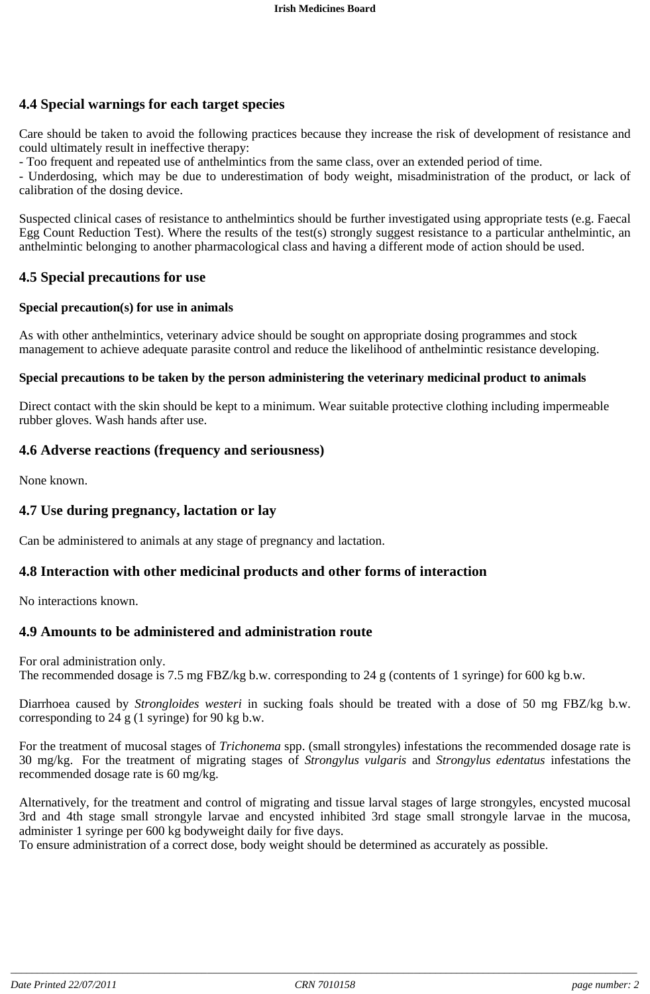## **4.4 Special warnings for each target species**

Care should be taken to avoid the following practices because they increase the risk of development of resistance and could ultimately result in ineffective therapy:

- Too frequent and repeated use of anthelmintics from the same class, over an extended period of time.

- Underdosing, which may be due to underestimation of body weight, misadministration of the product, or lack of calibration of the dosing device.

Suspected clinical cases of resistance to anthelmintics should be further investigated using appropriate tests (e.g. Faecal Egg Count Reduction Test). Where the results of the test(s) strongly suggest resistance to a particular anthelmintic, an anthelmintic belonging to another pharmacological class and having a different mode of action should be used.

#### **4.5 Special precautions for use**

#### **Special precaution(s) for use in animals**

As with other anthelmintics, veterinary advice should be sought on appropriate dosing programmes and stock management to achieve adequate parasite control and reduce the likelihood of anthelmintic resistance developing.

#### **Special precautions to be taken by the person administering the veterinary medicinal product to animals**

Direct contact with the skin should be kept to a minimum. Wear suitable protective clothing including impermeable rubber gloves. Wash hands after use.

#### **4.6 Adverse reactions (frequency and seriousness)**

None known.

#### **4.7 Use during pregnancy, lactation or lay**

Can be administered to animals at any stage of pregnancy and lactation.

#### **4.8 Interaction with other medicinal products and other forms of interaction**

No interactions known.

#### **4.9 Amounts to be administered and administration route**

For oral administration only. The recommended dosage is 7.5 mg FBZ/kg b.w. corresponding to 24 g (contents of 1 syringe) for 600 kg b.w.

Diarrhoea caused by *Strongloides westeri* in sucking foals should be treated with a dose of 50 mg FBZ/kg b.w. corresponding to 24 g  $(1 \text{ syringe})$  for 90 kg b.w.

For the treatment of mucosal stages of *Trichonema* spp. (small strongyles) infestations the recommended dosage rate is 30 mg/kg. For the treatment of migrating stages of *Strongylus vulgaris* and *Strongylus edentatus* infestations the recommended dosage rate is 60 mg/kg.

Alternatively, for the treatment and control of migrating and tissue larval stages of large strongyles, encysted mucosal 3rd and 4th stage small strongyle larvae and encysted inhibited 3rd stage small strongyle larvae in the mucosa, administer 1 syringe per 600 kg bodyweight daily for five days.

To ensure administration of a correct dose, body weight should be determined as accurately as possible.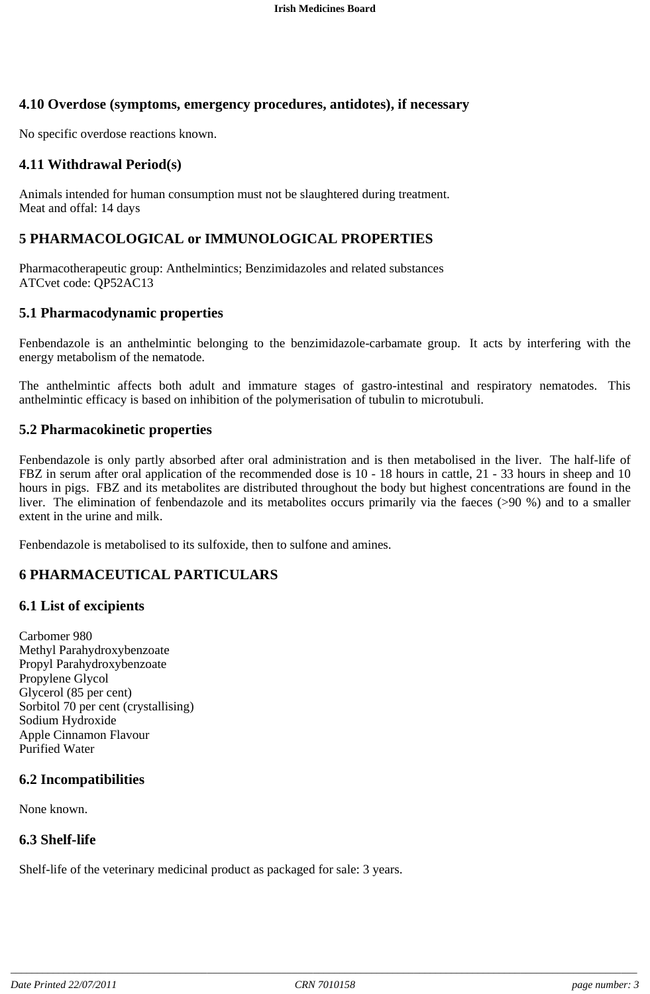## **4.10 Overdose (symptoms, emergency procedures, antidotes), if necessary**

No specific overdose reactions known.

#### **4.11 Withdrawal Period(s)**

Animals intended for human consumption must not be slaughtered during treatment. Meat and offal: 14 days

## **5 PHARMACOLOGICAL or IMMUNOLOGICAL PROPERTIES**

Pharmacotherapeutic group: Anthelmintics; Benzimidazoles and related substances ATCvet code: QP52AC13

#### **5.1 Pharmacodynamic properties**

Fenbendazole is an anthelmintic belonging to the benzimidazole-carbamate group. It acts by interfering with the energy metabolism of the nematode.

The anthelmintic affects both adult and immature stages of gastro-intestinal and respiratory nematodes. This anthelmintic efficacy is based on inhibition of the polymerisation of tubulin to microtubuli.

#### **5.2 Pharmacokinetic properties**

Fenbendazole is only partly absorbed after oral administration and is then metabolised in the liver. The half-life of FBZ in serum after oral application of the recommended dose is 10 - 18 hours in cattle, 21 - 33 hours in sheep and 10 hours in pigs. FBZ and its metabolites are distributed throughout the body but highest concentrations are found in the liver. The elimination of fenbendazole and its metabolites occurs primarily via the faeces (>90 %) and to a smaller extent in the urine and milk.

Fenbendazole is metabolised to its sulfoxide, then to sulfone and amines.

## **6 PHARMACEUTICAL PARTICULARS**

#### **6.1 List of excipients**

Carbomer 980 Methyl Parahydroxybenzoate Propyl Parahydroxybenzoate Propylene Glycol Glycerol (85 per cent) Sorbitol 70 per cent (crystallising) Sodium Hydroxide Apple Cinnamon Flavour Purified Water

#### **6.2 Incompatibilities**

None known.

#### **6.3 Shelf-life**

Shelf-life of the veterinary medicinal product as packaged for sale: 3 years.